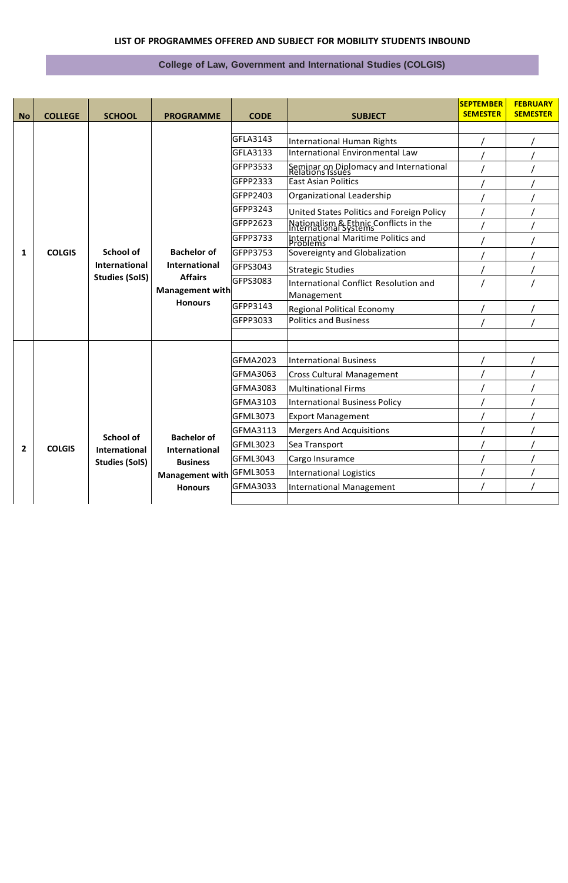## **LIST OF PROGRAMMES OFFERED AND SUBJECT FOR MOBILITY STUDENTS INBOUND**

## **College of Law, Government and International Studies (COLGIS)**

|           |                |                                                                                   |                                                          |                                |                                                                | <b>SEPTEMBER</b><br><b>SEMESTER</b> | <b>FEBRUARY</b><br><b>SEMESTER</b> |
|-----------|----------------|-----------------------------------------------------------------------------------|----------------------------------------------------------|--------------------------------|----------------------------------------------------------------|-------------------------------------|------------------------------------|
| <b>No</b> | <b>COLLEGE</b> | <b>SCHOOL</b>                                                                     | <b>PROGRAMME</b>                                         | <b>CODE</b>                    | <b>SUBJECT</b>                                                 |                                     |                                    |
|           |                |                                                                                   |                                                          | GFLA3143                       | International Human Rights                                     |                                     |                                    |
|           |                |                                                                                   |                                                          | <b>GFLA3133</b>                | International Environmental Law                                |                                     |                                    |
|           |                |                                                                                   |                                                          | GFPP3533                       | Seminar on Diplomacy and International<br>Relations Issues     |                                     |                                    |
|           |                |                                                                                   |                                                          | GFPP2333                       | <b>East Asian Politics</b>                                     |                                     |                                    |
|           |                |                                                                                   |                                                          | GFPP2403                       | Organizational Leadership                                      |                                     |                                    |
|           |                |                                                                                   |                                                          | GFPP3243                       | United States Politics and Foreign Policy                      |                                     |                                    |
|           |                |                                                                                   |                                                          | GFPP2623                       | Nationalism & Ethnic Conflicts in the<br>International Systems |                                     |                                    |
| 1         | <b>COLGIS</b>  |                                                                                   |                                                          | GFPP3733                       | International Maritime Politics and<br>Problems                |                                     |                                    |
|           |                | <b>Bachelor of</b><br>School of                                                   |                                                          | GFPP3753                       | Sovereignty and Globalization                                  |                                     |                                    |
|           |                | International                                                                     | International<br><b>Affairs</b><br><b>Studies (SoIS)</b> | GFPS3043                       | <b>Strategic Studies</b>                                       |                                     |                                    |
|           |                |                                                                                   |                                                          | GFPS3083                       | International Conflict Resolution and                          |                                     |                                    |
|           |                | Management with<br><b>Honours</b>                                                 |                                                          | Management                     |                                                                |                                     |                                    |
|           |                |                                                                                   |                                                          | GFPP3143                       | <b>Regional Political Economy</b>                              |                                     |                                    |
|           |                |                                                                                   |                                                          | GFPP3033                       | <b>Politics and Business</b>                                   |                                     |                                    |
|           |                |                                                                                   |                                                          |                                |                                                                |                                     |                                    |
|           |                |                                                                                   |                                                          | <b>GFMA2023</b>                | <b>International Business</b>                                  |                                     |                                    |
|           |                |                                                                                   |                                                          | <b>GFMA3063</b>                | <b>Cross Cultural Management</b>                               |                                     |                                    |
|           |                |                                                                                   |                                                          | <b>GFMA3083</b>                | <b>Multinational Firms</b>                                     |                                     |                                    |
|           |                |                                                                                   |                                                          | <b>GFMA3103</b>                | <b>International Business Policy</b>                           |                                     |                                    |
|           |                |                                                                                   |                                                          | GFML3073                       | <b>Export Management</b>                                       |                                     |                                    |
| 2         | <b>COLGIS</b>  |                                                                                   |                                                          | GFMA3113                       | <b>Mergers And Acquisitions</b>                                |                                     |                                    |
|           |                | School of                                                                         | <b>Bachelor of</b>                                       | GFML3023                       | Sea Transport                                                  |                                     |                                    |
|           |                | International<br><b>International</b><br><b>Studies (SoIS)</b><br><b>Business</b> | GFML3043                                                 | Cargo Insuramce                |                                                                |                                     |                                    |
|           |                |                                                                                   |                                                          | <b>International Logistics</b> |                                                                |                                     |                                    |
|           |                |                                                                                   | Management with GFML3053<br><b>Honours</b>               | GFMA3033                       | <b>International Management</b>                                |                                     |                                    |
|           |                |                                                                                   |                                                          |                                |                                                                |                                     |                                    |
|           |                |                                                                                   |                                                          |                                |                                                                |                                     |                                    |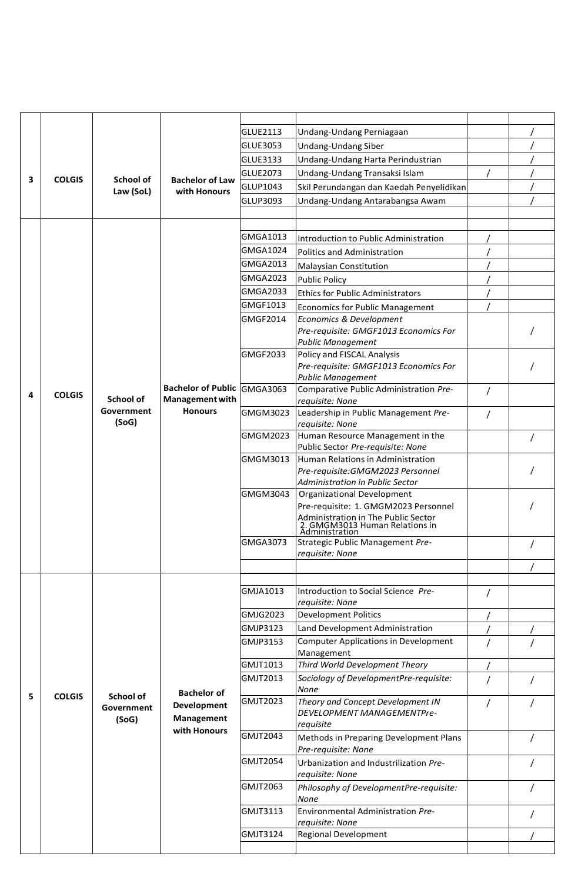|   |               |                                         |                                                                        | GLUE2113        | Undang-Undang Perniagaan                                               |  |
|---|---------------|-----------------------------------------|------------------------------------------------------------------------|-----------------|------------------------------------------------------------------------|--|
|   |               |                                         |                                                                        | GLUE3053        | Undang-Undang Siber                                                    |  |
|   |               |                                         |                                                                        | <b>GLUE3133</b> | Undang-Undang Harta Perindustrian                                      |  |
|   |               |                                         |                                                                        | <b>GLUE2073</b> | Undang-Undang Transaksi Islam                                          |  |
| 3 | <b>COLGIS</b> | School of                               | <b>Bachelor of Law</b>                                                 | GLUP1043        | Skil Perundangan dan Kaedah Penyelidikan                               |  |
|   |               | Law (SoL)                               | with Honours                                                           |                 |                                                                        |  |
|   |               |                                         |                                                                        | GLUP3093        | Undang-Undang Antarabangsa Awam                                        |  |
|   |               |                                         |                                                                        |                 |                                                                        |  |
|   |               |                                         |                                                                        | GMGA1013        | Introduction to Public Administration                                  |  |
|   |               |                                         |                                                                        | GMGA1024        |                                                                        |  |
|   |               |                                         |                                                                        | GMGA2013        | Politics and Administration                                            |  |
|   |               |                                         |                                                                        |                 | <b>Malaysian Constitution</b>                                          |  |
|   |               |                                         |                                                                        | GMGA2023        | <b>Public Policy</b>                                                   |  |
|   |               |                                         |                                                                        | <b>GMGA2033</b> | <b>Ethics for Public Administrators</b>                                |  |
|   |               |                                         |                                                                        | GMGF1013        | <b>Economics for Public Management</b>                                 |  |
|   |               |                                         |                                                                        | GMGF2014        | Economics & Development                                                |  |
|   |               |                                         |                                                                        |                 | Pre-requisite: GMGF1013 Economics For                                  |  |
|   |               |                                         |                                                                        | GMGF2033        | <b>Public Management</b><br>Policy and FISCAL Analysis                 |  |
|   |               |                                         |                                                                        |                 | Pre-requisite: GMGF1013 Economics For                                  |  |
|   |               |                                         |                                                                        |                 | <b>Public Management</b>                                               |  |
|   |               |                                         | <b>Bachelor of Public</b>                                              | GMGA3063        | Comparative Public Administration Pre-                                 |  |
| 4 | <b>COLGIS</b> | School of                               | Management with<br><b>Honours</b>                                      |                 | requisite: None                                                        |  |
|   |               | Government                              |                                                                        | GMGM3023        | Leadership in Public Management Pre-                                   |  |
|   |               | (SoG)                                   |                                                                        |                 | requisite: None                                                        |  |
|   |               |                                         |                                                                        | GMGM2023        | Human Resource Management in the                                       |  |
|   |               |                                         |                                                                        |                 | Public Sector Pre-requisite: None<br>Human Relations in Administration |  |
|   |               |                                         |                                                                        | GMGM3013        | Pre-requisite: GMGM2023 Personnel                                      |  |
|   |               |                                         |                                                                        |                 | Administration in Public Sector                                        |  |
|   |               |                                         |                                                                        | GMGM3043        | Organizational Development                                             |  |
|   |               |                                         |                                                                        |                 | Pre-requisite: 1. GMGM2023 Personnel                                   |  |
|   |               |                                         |                                                                        |                 | Administration in The Public Sector                                    |  |
|   |               |                                         |                                                                        |                 | 2. GMGM3013 Human Relations in<br>Administration                       |  |
|   |               |                                         |                                                                        | <b>GMGA3073</b> | Strategic Public Management Pre-                                       |  |
|   |               |                                         |                                                                        |                 | requisite: None                                                        |  |
|   |               |                                         |                                                                        |                 |                                                                        |  |
|   | <b>COLGIS</b> | <b>School of</b><br>Government<br>(SoG) | <b>Bachelor of</b><br><b>Development</b><br>Management<br>with Honours |                 |                                                                        |  |
|   |               |                                         |                                                                        | GMJA1013        | Introduction to Social Science Pre-<br>requisite: None                 |  |
|   |               |                                         |                                                                        | GMJG2023        | <b>Development Politics</b>                                            |  |
|   |               |                                         |                                                                        | GMJP3123        | Land Development Administration                                        |  |
|   |               |                                         |                                                                        | GMJP3153        | <b>Computer Applications in Development</b>                            |  |
|   |               |                                         |                                                                        |                 | Management                                                             |  |
|   |               |                                         |                                                                        | GMJT1013        | Third World Development Theory                                         |  |
|   |               |                                         |                                                                        | <b>GMJT2013</b> | Sociology of DevelopmentPre-requisite:                                 |  |
|   |               |                                         |                                                                        |                 | None                                                                   |  |
| 5 |               |                                         |                                                                        | GMJT2023        | Theory and Concept Development IN                                      |  |
|   |               |                                         |                                                                        |                 | <b>DEVELOPMENT MANAGEMENTPre-</b>                                      |  |
|   |               |                                         |                                                                        | GMJT2043        | requisite                                                              |  |
|   |               |                                         |                                                                        |                 | Methods in Preparing Development Plans                                 |  |
|   |               |                                         |                                                                        | <b>GMJT2054</b> | Pre-requisite: None                                                    |  |
|   |               |                                         |                                                                        |                 | Urbanization and Industrilization Pre-<br>requisite: None              |  |
|   |               |                                         |                                                                        | GMJT2063        | Philosophy of DevelopmentPre-requisite:                                |  |
|   |               |                                         |                                                                        |                 | <b>None</b>                                                            |  |
|   |               |                                         |                                                                        | GMJT3113        | Environmental Administration Pre-                                      |  |
|   |               |                                         |                                                                        |                 | requisite: None                                                        |  |
|   |               |                                         |                                                                        | GMJT3124        | <b>Regional Development</b>                                            |  |
|   |               |                                         |                                                                        |                 |                                                                        |  |